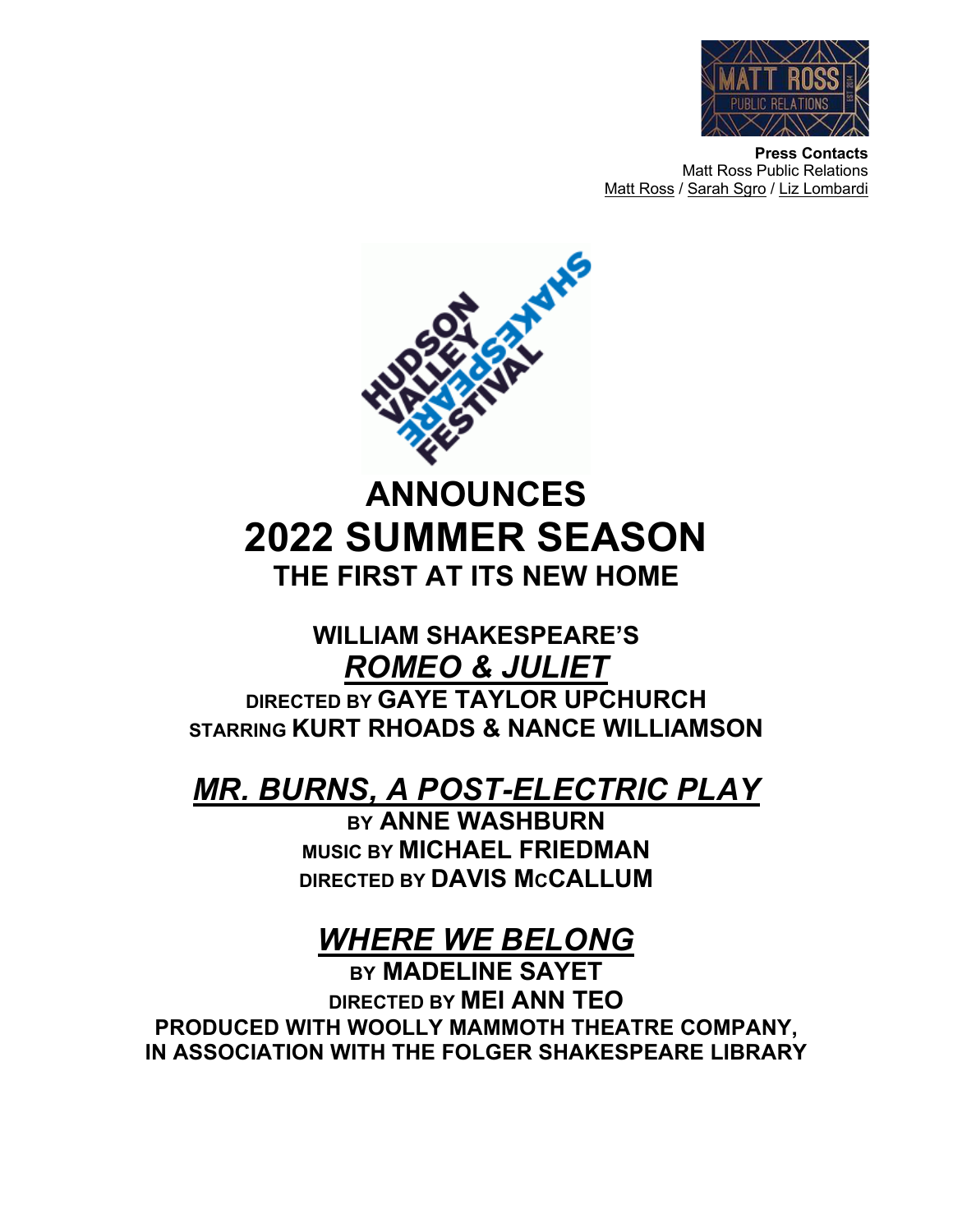

**Press Contacts** Matt Ross Public Relations Matt Ross / Sarah Sgro / Liz Lombardi



**ANNOUNCES 2022 SUMMER SEASON THE FIRST AT ITS NEW HOME** 

## **WILLIAM SHAKESPEARE'S** *ROMEO & JULIET* **DIRECTED BY GAYE TAYLOR UPCHURCH STARRING KURT RHOADS & NANCE WILLIAMSON**

# *MR. BURNS, A POST-ELECTRIC PLAY*

**BY ANNE WASHBURN MUSIC BY MICHAEL FRIEDMAN DIRECTED BY DAVIS MCCALLUM**

# *WHERE WE BELONG*

**BY MADELINE SAYET DIRECTED BY MEI ANN TEO PRODUCED WITH WOOLLY MAMMOTH THEATRE COMPANY, IN ASSOCIATION WITH THE FOLGER SHAKESPEARE LIBRARY**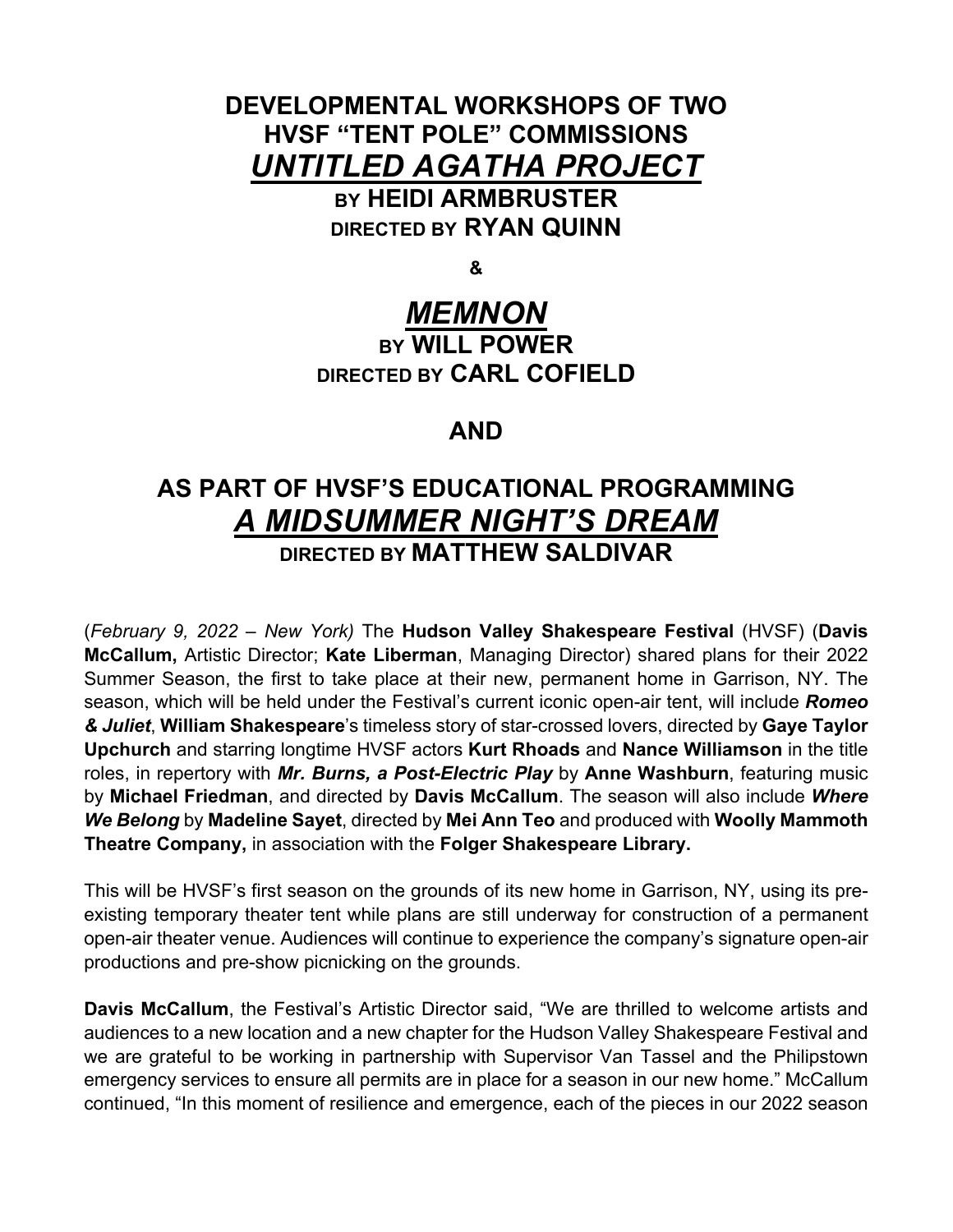### **DEVELOPMENTAL WORKSHOPS OF TWO HVSF "TENT POLE" COMMISSIONS** *UNTITLED AGATHA PROJECT* **BY HEIDI ARMBRUSTER**

**DIRECTED BY RYAN QUINN**

**&**

## *MEMNON*

### **BY WILL POWER DIRECTED BY CARL COFIELD**

### **AND**

## **AS PART OF HVSF'S EDUCATIONAL PROGRAMMING** *A MIDSUMMER NIGHT'S DREAM* **DIRECTED BY MATTHEW SALDIVAR**

(*February 9, 2022 – New York)* The **Hudson Valley Shakespeare Festival** (HVSF) (**Davis McCallum,** Artistic Director; **Kate Liberman**, Managing Director) shared plans for their 2022 Summer Season, the first to take place at their new, permanent home in Garrison, NY. The season, which will be held under the Festival's current iconic open-air tent, will include *Romeo & Juliet*, **William Shakespeare**'s timeless story of star-crossed lovers, directed by **Gaye Taylor Upchurch** and starring longtime HVSF actors **Kurt Rhoads** and **Nance Williamson** in the title roles, in repertory with *Mr. Burns, a Post-Electric Play* by **Anne Washburn**, featuring music by **Michael Friedman**, and directed by **Davis McCallum**. The season will also include *Where We Belong* by **Madeline Sayet**, directed by **Mei Ann Teo** and produced with **Woolly Mammoth Theatre Company,** in association with the **Folger Shakespeare Library.**

This will be HVSF's first season on the grounds of its new home in Garrison, NY, using its preexisting temporary theater tent while plans are still underway for construction of a permanent open-air theater venue. Audiences will continue to experience the company's signature open-air productions and pre-show picnicking on the grounds.

**Davis McCallum**, the Festival's Artistic Director said, "We are thrilled to welcome artists and audiences to a new location and a new chapter for the Hudson Valley Shakespeare Festival and we are grateful to be working in partnership with Supervisor Van Tassel and the Philipstown emergency services to ensure all permits are in place for a season in our new home." McCallum continued, "In this moment of resilience and emergence, each of the pieces in our 2022 season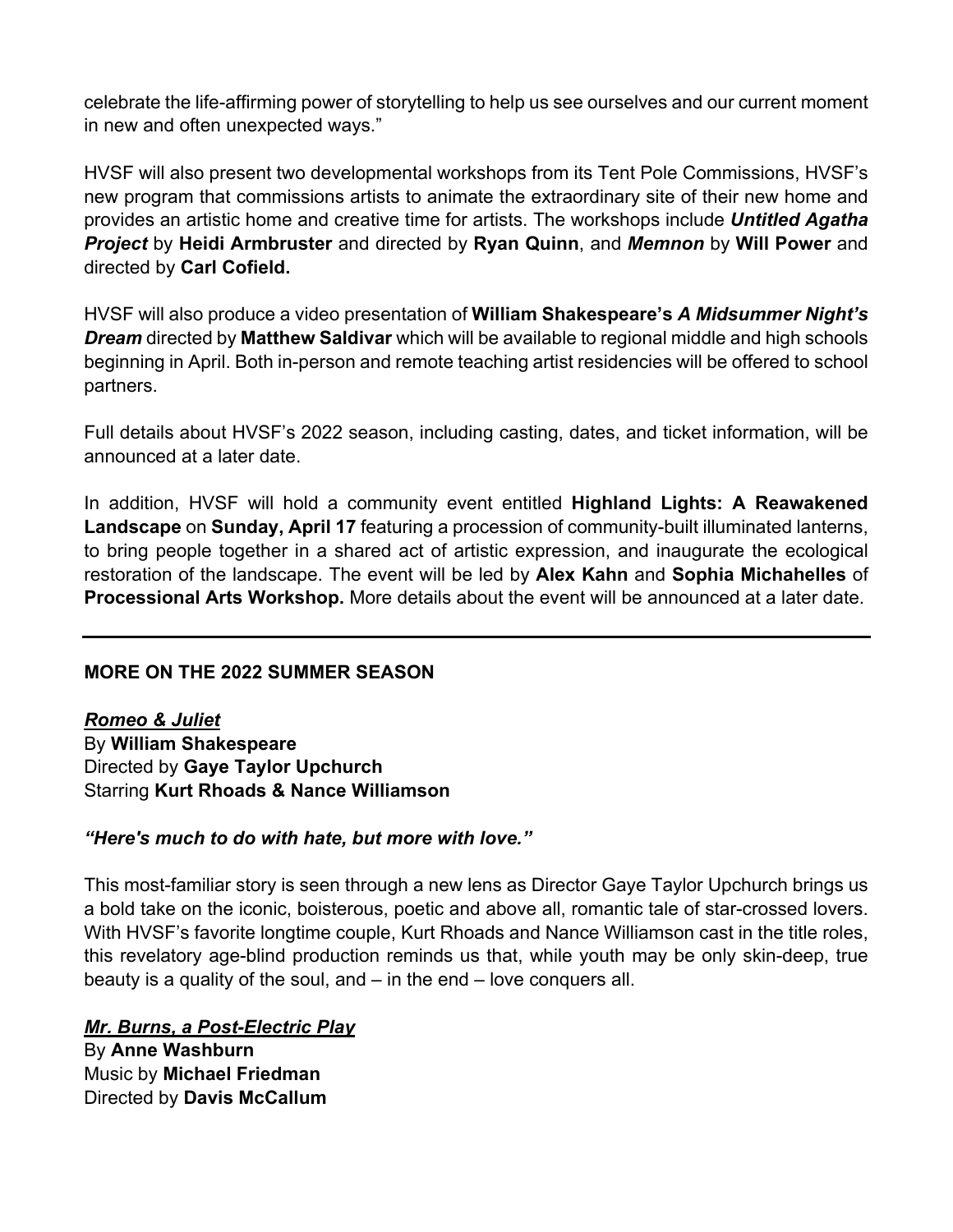celebrate the life-affirming power of storytelling to help us see ourselves and our current moment in new and often unexpected ways."

HVSF will also present two developmental workshops from its Tent Pole Commissions, HVSF's new program that commissions artists to animate the extraordinary site of their new home and provides an artistic home and creative time for artists. The workshops include *Untitled Agatha Project* by **Heidi Armbruster** and directed by **Ryan Quinn**, and *Memnon* by **Will Power** and directed by **Carl Cofield.**

HVSF will also produce a video presentation of **William Shakespeare's** *A Midsummer Night's Dream* directed by **Matthew Saldivar** which will be available to regional middle and high schools beginning in April. Both in-person and remote teaching artist residencies will be offered to school partners.

Full details about HVSF's 2022 season, including casting, dates, and ticket information, will be announced at a later date.

In addition, HVSF will hold a community event entitled **Highland Lights: A Reawakened Landscape** on **Sunday, April 17** featuring a procession of community-built illuminated lanterns, to bring people together in a shared act of artistic expression, and inaugurate the ecological restoration of the landscape. The event will be led by **Alex Kahn** and **Sophia Michahelles** of **Processional Arts Workshop.** More details about the event will be announced at a later date.

#### **MORE ON THE 2022 SUMMER SEASON**

*Romeo & Juliet* By **William Shakespeare** Directed by **Gaye Taylor Upchurch** Starring **Kurt Rhoads & Nance Williamson**

#### *"Here's much to do with hate, but more with love."*

This most-familiar story is seen through a new lens as Director Gaye Taylor Upchurch brings us a bold take on the iconic, boisterous, poetic and above all, romantic tale of star-crossed lovers. With HVSF's favorite longtime couple, Kurt Rhoads and Nance Williamson cast in the title roles, this revelatory age-blind production reminds us that, while youth may be only skin-deep, true beauty is a quality of the soul, and – in the end – love conquers all.

#### *Mr. Burns, a Post-Electric Play*

By **Anne Washburn** Music by **Michael Friedman** Directed by **Davis McCallum**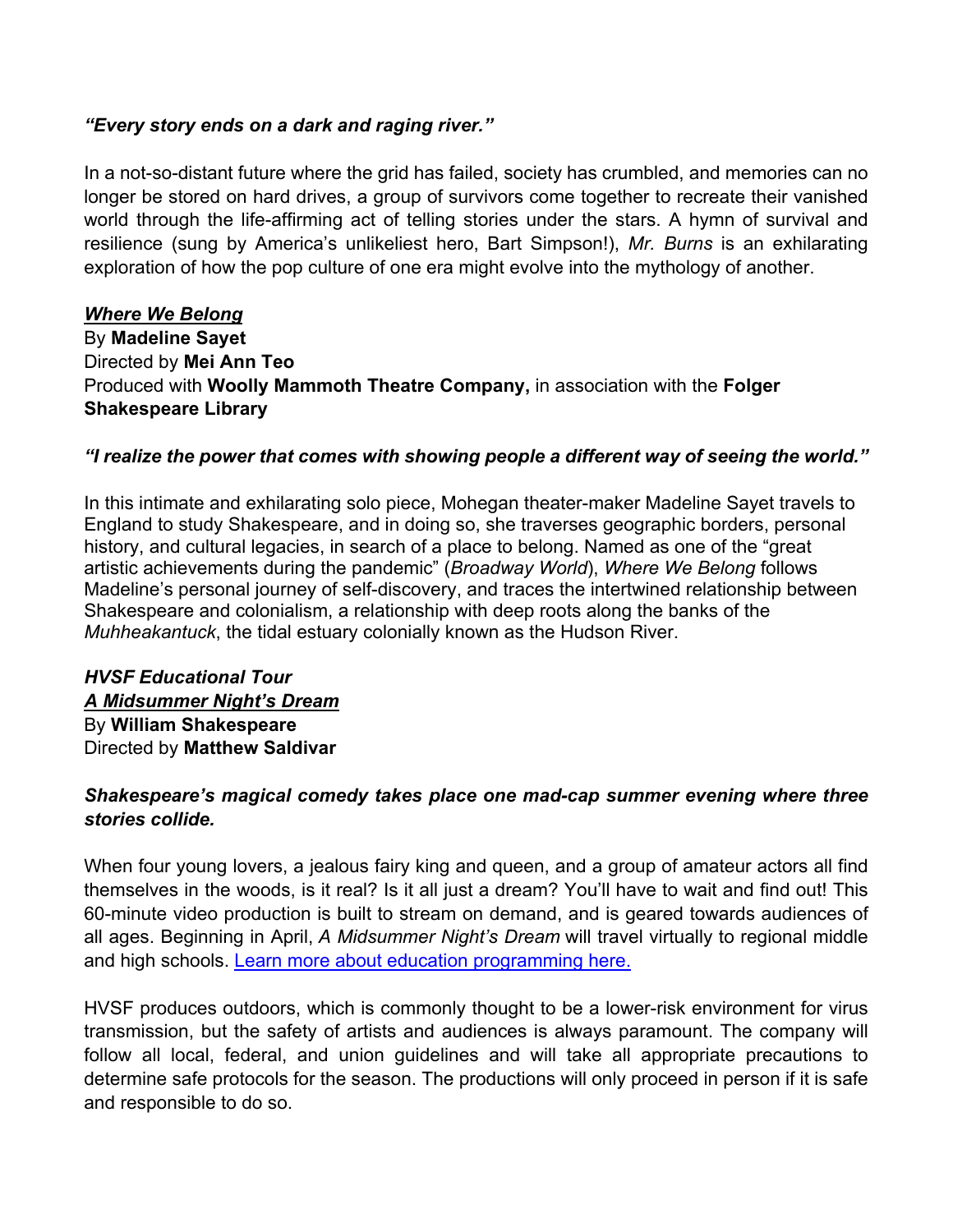#### *"Every story ends on a dark and raging river."*

In a not-so-distant future where the grid has failed, society has crumbled, and memories can no longer be stored on hard drives, a group of survivors come together to recreate their vanished world through the life-affirming act of telling stories under the stars. A hymn of survival and resilience (sung by America's unlikeliest hero, Bart Simpson!), *Mr. Burns* is an exhilarating exploration of how the pop culture of one era might evolve into the mythology of another.

*Where We Belong* By **Madeline Sayet** Directed by **Mei Ann Teo** Produced with **Woolly Mammoth Theatre Company,** in association with the **Folger Shakespeare Library**

#### *"I realize the power that comes with showing people a different way of seeing the world."*

In this intimate and exhilarating solo piece, Mohegan theater-maker Madeline Sayet travels to England to study Shakespeare, and in doing so, she traverses geographic borders, personal history, and cultural legacies, in search of a place to belong. Named as one of the "great artistic achievements during the pandemic" (*Broadway World*), *Where We Belong* follows Madeline's personal journey of self-discovery, and traces the intertwined relationship between Shakespeare and colonialism, a relationship with deep roots along the banks of the *Muhheakantuck*, the tidal estuary colonially known as the Hudson River.

#### *HVSF Educational Tour A Midsummer Night's Dream* By **William Shakespeare** Directed by **Matthew Saldivar**

#### *Shakespeare's magical comedy takes place one mad-cap summer evening where three stories collide.*

When four young lovers, a jealous fairy king and queen, and a group of amateur actors all find themselves in the woods, is it real? Is it all just a dream? You'll have to wait and find out! This 60-minute video production is built to stream on demand, and is geared towards audiences of all ages. Beginning in April, *A Midsummer Night's Dream* will travel virtually to regional middle and high schools. Learn more about education programming here.

HVSF produces outdoors, which is commonly thought to be a lower-risk environment for virus transmission, but the safety of artists and audiences is always paramount. The company will follow all local, federal, and union guidelines and will take all appropriate precautions to determine safe protocols for the season. The productions will only proceed in person if it is safe and responsible to do so.